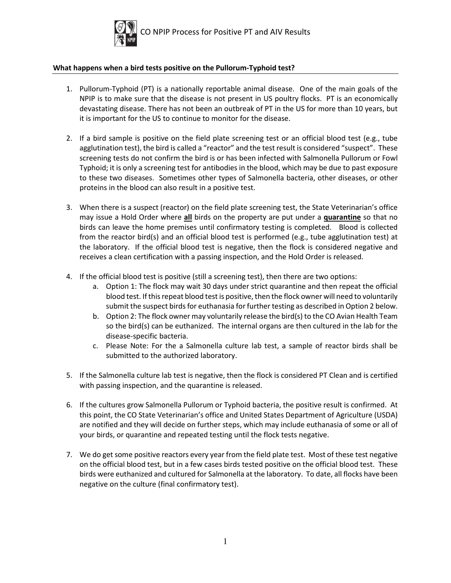

## **What happens when a bird tests positive on the Pullorum-Typhoid test?**

- 1. Pullorum-Typhoid (PT) is a nationally reportable animal disease. One of the main goals of the NPIP is to make sure that the disease is not present in US poultry flocks. PT is an economically devastating disease. There has not been an outbreak of PT in the US for more than 10 years, but it is important for the US to continue to monitor for the disease.
- 2. If a bird sample is positive on the field plate screening test or an official blood test (e.g., tube agglutination test), the bird is called a "reactor" and the test result is considered "suspect". These screening tests do not confirm the bird is or has been infected with Salmonella Pullorum or Fowl Typhoid; it is only a screening test for antibodies in the blood, which may be due to past exposure to these two diseases. Sometimes other types of Salmonella bacteria, other diseases, or other proteins in the blood can also result in a positive test.
- 3. When there is a suspect (reactor) on the field plate screening test, the State Veterinarian's office may issue a Hold Order where **all** birds on the property are put under a **quarantine** so that no birds can leave the home premises until confirmatory testing is completed. Blood is collected from the reactor bird(s) and an official blood test is performed (e.g., tube agglutination test) at the laboratory. If the official blood test is negative, then the flock is considered negative and receives a clean certification with a passing inspection, and the Hold Order is released.
- 4. If the official blood test is positive (still a screening test), then there are two options:
	- a. Option 1: The flock may wait 30 days under strict quarantine and then repeat the official blood test. If this repeat blood test is positive, then the flock owner will need to voluntarily submit the suspect birds for euthanasia for further testing as described in Option 2 below.
	- b. Option 2: The flock owner may voluntarily release the bird(s) to the CO Avian Health Team so the bird(s) can be euthanized. The internal organs are then cultured in the lab for the disease-specific bacteria.
	- c. Please Note: For the a Salmonella culture lab test, a sample of reactor birds shall be submitted to the authorized laboratory.
- 5. If the Salmonella culture lab test is negative, then the flock is considered PT Clean and is certified with passing inspection, and the quarantine is released.
- 6. If the cultures grow Salmonella Pullorum or Typhoid bacteria, the positive result is confirmed. At this point, the CO State Veterinarian's office and United States Department of Agriculture (USDA) are notified and they will decide on further steps, which may include euthanasia of some or all of your birds, or quarantine and repeated testing until the flock tests negative.
- 7. We do get some positive reactors every year from the field plate test. Most of these test negative on the official blood test, but in a few cases birds tested positive on the official blood test. These birds were euthanized and cultured for Salmonella at the laboratory. To date, all flocks have been negative on the culture (final confirmatory test).